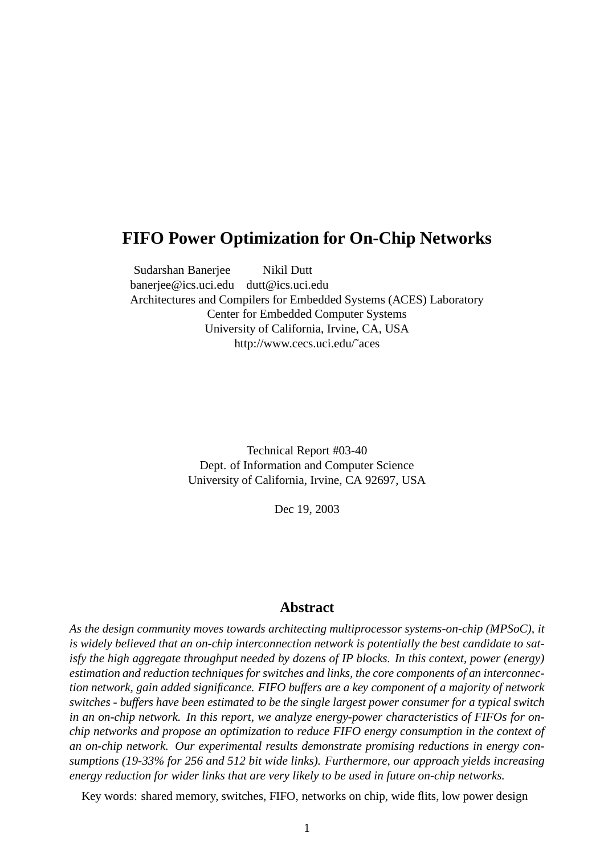## **FIFO Power Optimization for On-Chip Networks**

Sudarshan Banerjee Nikil Dutt banerjee@ics.uci.edu dutt@ics.uci.edu Architectures and Compilers for Embedded Systems (ACES) Laboratory Center for Embedded Computer Systems University of California, Irvine, CA, USA http://www.cecs.uci.edu/˜aces

> Technical Report #03-40 Dept. of Information and Computer Science University of California, Irvine, CA 92697, USA

> > Dec 19, 2003

## **Abstract**

*As the design community moves towards architecting multiprocessor systems-on-chip (MPSoC), it is widely believed that an on-chip interconnection network is potentially the best candidate to satisfy the high aggregate throughput needed by dozens of IP blocks. In this context, power (energy) estimation and reduction techniques for switches and links, the core components of an interconnection network, gain added significance. FIFO buffers are a key component of a majority of network switches - buffers have been estimated to be the single largest power consumer for a typical switch in an on-chip network. In this report, we analyze energy-power characteristics of FIFOs for onchip networks and propose an optimization to reduce FIFO energy consumption in the context of an on-chip network. Our experimental results demonstrate promising reductions in energy consumptions (19-33% for 256 and 512 bit wide links). Furthermore, our approach yields increasing energy reduction for wider links that are very likely to be used in future on-chip networks.*

Key words: shared memory, switches, FIFO, networks on chip, wide flits, low power design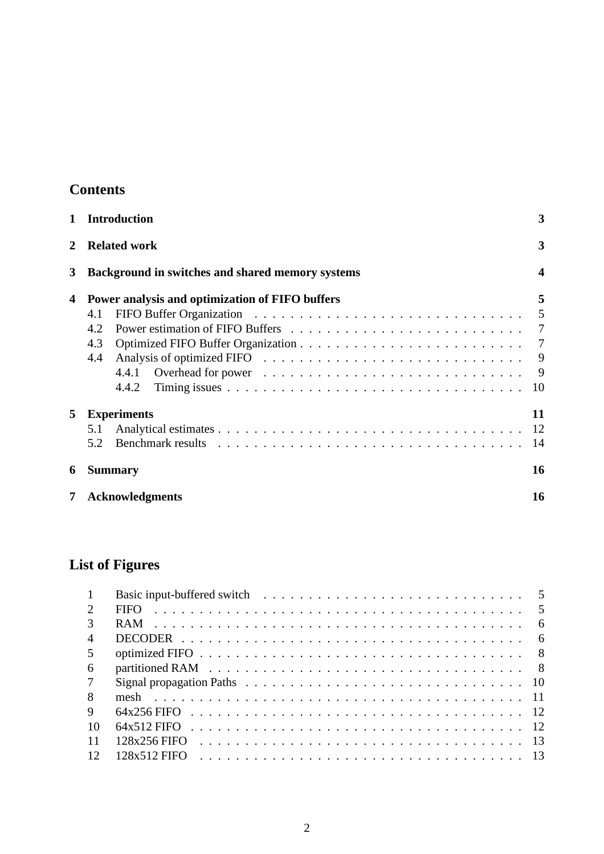## **Contents**

|   | <b>Introduction</b>                                                                  | 3                             |
|---|--------------------------------------------------------------------------------------|-------------------------------|
|   | <b>Related work</b>                                                                  | 3                             |
| 3 | Background in switches and shared memory systems                                     | $\overline{\mathbf{4}}$       |
| 4 | Power analysis and optimization of FIFO buffers<br>4.1<br>4.2<br>4.3<br>4.4<br>4.4.2 | 5<br>5<br>9<br>9<br><b>10</b> |
| 5 | <b>Experiments</b><br>5.1<br>5.2                                                     | 11<br>-12<br>14               |
| 6 | <b>Summary</b>                                                                       | 16                            |
|   | <b>Acknowledgments</b>                                                               | 16                            |

# **List of Figures**

|    | <b>FIFO</b>                                                                                    |
|----|------------------------------------------------------------------------------------------------|
|    | - 6                                                                                            |
|    |                                                                                                |
|    |                                                                                                |
| -6 | partitioned RAM $\ldots \ldots \ldots \ldots \ldots \ldots \ldots \ldots \ldots \ldots \ldots$ |
|    |                                                                                                |
|    |                                                                                                |
| 9  |                                                                                                |
| 10 |                                                                                                |
|    | $128x256$ FIFO                                                                                 |
| 12 |                                                                                                |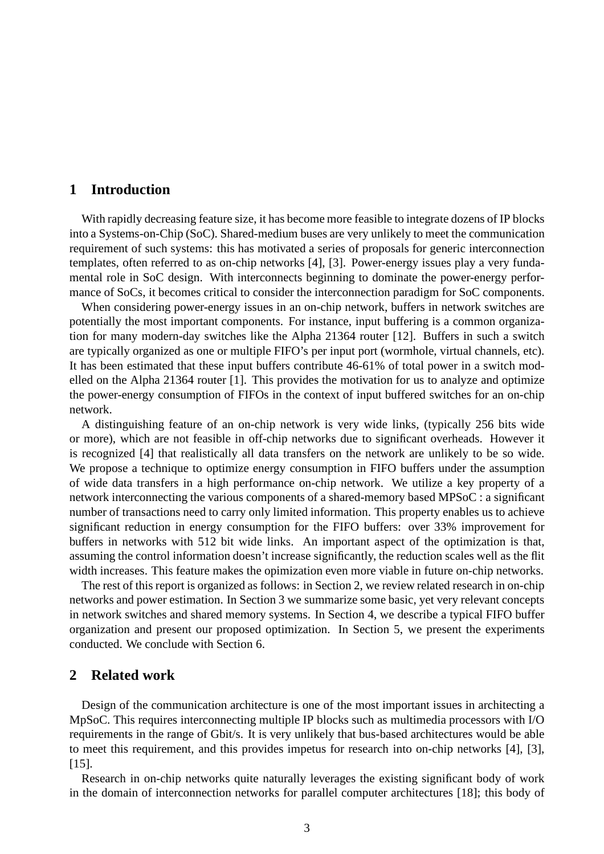## **1 Introduction**

With rapidly decreasing feature size, it has become more feasible to integrate dozens of IP blocks into a Systems-on-Chip (SoC). Shared-medium buses are very unlikely to meet the communication requirement of such systems: this has motivated a series of proposals for generic interconnection templates, often referred to as on-chip networks [4], [3]. Power-energy issues play a very fundamental role in SoC design. With interconnects beginning to dominate the power-energy performance of SoCs, it becomes critical to consider the interconnection paradigm for SoC components.

When considering power-energy issues in an on-chip network, buffers in network switches are potentially the most important components. For instance, input buffering is a common organization for many modern-day switches like the Alpha 21364 router [12]. Buffers in such a switch are typically organized as one or multiple FIFO's per input port (wormhole, virtual channels, etc). It has been estimated that these input buffers contribute 46-61% of total power in a switch modelled on the Alpha 21364 router [1]. This provides the motivation for us to analyze and optimize the power-energy consumption of FIFOs in the context of input buffered switches for an on-chip network.

A distinguishing feature of an on-chip network is very wide links, (typically 256 bits wide or more), which are not feasible in off-chip networks due to significant overheads. However it is recognized [4] that realistically all data transfers on the network are unlikely to be so wide. We propose a technique to optimize energy consumption in FIFO buffers under the assumption of wide data transfers in a high performance on-chip network. We utilize a key property of a network interconnecting the various components of a shared-memory based MPSoC : a significant number of transactions need to carry only limited information. This property enables us to achieve significant reduction in energy consumption for the FIFO buffers: over 33% improvement for buffers in networks with 512 bit wide links. An important aspect of the optimization is that, assuming the control information doesn't increase significantly, the reduction scales well as the flit width increases. This feature makes the opimization even more viable in future on-chip networks.

The rest of this report is organized as follows: in Section 2, we review related research in on-chip networks and power estimation. In Section 3 we summarize some basic, yet very relevant concepts in network switches and shared memory systems. In Section 4, we describe a typical FIFO buffer organization and present our proposed optimization. In Section 5, we present the experiments conducted. We conclude with Section 6.

## **2 Related work**

Design of the communication architecture is one of the most important issues in architecting a MpSoC. This requires interconnecting multiple IP blocks such as multimedia processors with I/O requirements in the range of Gbit/s. It is very unlikely that bus-based architectures would be able to meet this requirement, and this provides impetus for research into on-chip networks [4], [3], [15].

Research in on-chip networks quite naturally leverages the existing significant body of work in the domain of interconnection networks for parallel computer architectures [18]; this body of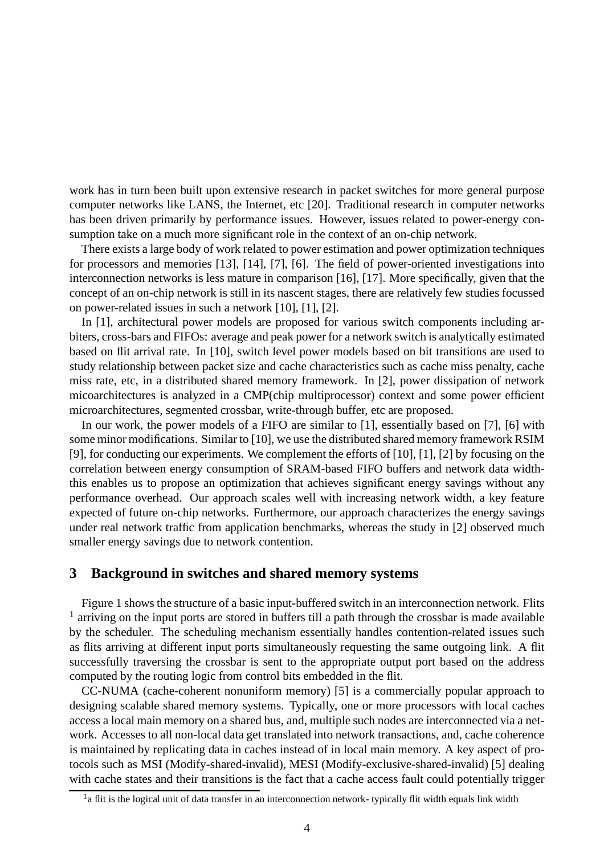work has in turn been built upon extensive research in packet switches for more general purpose computer networks like LANS, the Internet, etc [20]. Traditional research in computer networks has been driven primarily by performance issues. However, issues related to power-energy consumption take on a much more significant role in the context of an on-chip network.

There exists a large body of work related to power estimation and power optimization techniques for processors and memories [13], [14], [7], [6]. The field of power-oriented investigations into interconnection networks is less mature in comparison [16], [17]. More specifically, given that the concept of an on-chip network is still in its nascent stages, there are relatively few studies focussed on power-related issues in such a network [10], [1], [2].

In [1], architectural power models are proposed for various switch components including arbiters, cross-bars and FIFOs: average and peak power for a network switch is analytically estimated based on flit arrival rate. In [10], switch level power models based on bit transitions are used to study relationship between packet size and cache characteristics such as cache miss penalty, cache miss rate, etc, in a distributed shared memory framework. In [2], power dissipation of network micoarchitectures is analyzed in a CMP(chip multiprocessor) context and some power efficient microarchitectures, segmented crossbar, write-through buffer, etc are proposed.

In our work, the power models of a FIFO are similar to [1], essentially based on [7], [6] with some minor modifications. Similar to [10], we use the distributed shared memory framework RSIM [9], for conducting our experiments. We complement the efforts of [10], [1], [2] by focusing on the correlation between energy consumption of SRAM-based FIFO buffers and network data widththis enables us to propose an optimization that achieves significant energy savings without any performance overhead. Our approach scales well with increasing network width, a key feature expected of future on-chip networks. Furthermore, our approach characterizes the energy savings under real network traffic from application benchmarks, whereas the study in [2] observed much smaller energy savings due to network contention.

## **3 Background in switches and shared memory systems**

Figure 1 shows the structure of a basic input-buffered switch in an interconnection network. Flits <sup>1</sup> arriving on the input ports are stored in buffers till a path through the crossbar is made available by the scheduler. The scheduling mechanism essentially handles contention-related issues such as flits arriving at different input ports simultaneously requesting the same outgoing link. A flit successfully traversing the crossbar is sent to the appropriate output port based on the address computed by the routing logic from control bits embedded in the flit.

CC-NUMA (cache-coherent nonuniform memory) [5] is a commercially popular approach to designing scalable shared memory systems. Typically, one or more processors with local caches access a local main memory on a shared bus, and, multiple such nodes are interconnected via a network. Accesses to all non-local data get translated into network transactions, and, cache coherence is maintained by replicating data in caches instead of in local main memory. A key aspect of protocols such as MSI (Modify-shared-invalid), MESI (Modify-exclusive-shared-invalid) [5] dealing with cache states and their transitions is the fact that a cache access fault could potentially trigger

<sup>&</sup>lt;sup>1</sup>a flit is the logical unit of data transfer in an interconnection network-typically flit width equals link width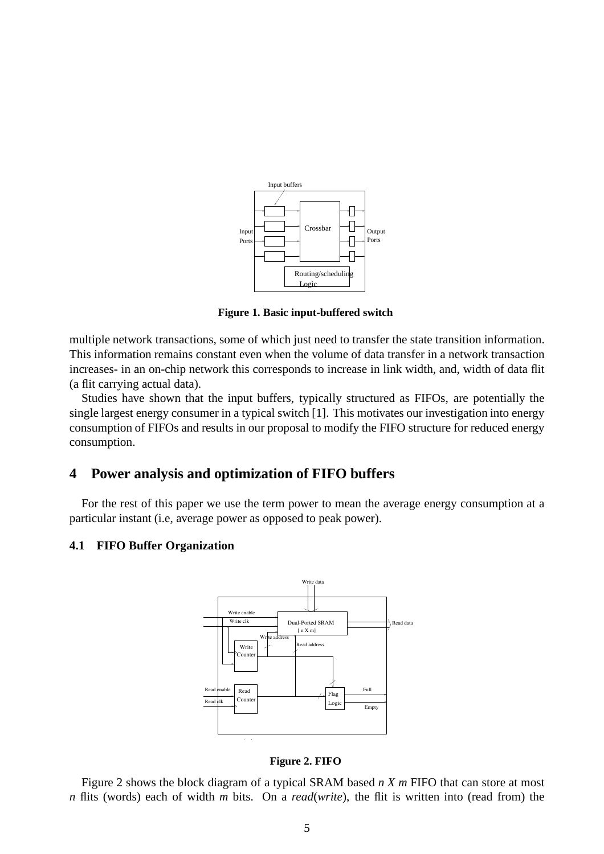

**Figure 1. Basic input-buffered switch**

multiple network transactions, some of which just need to transfer the state transition information. This information remains constant even when the volume of data transfer in a network transaction increases- in an on-chip network this corresponds to increase in link width, and, width of data flit (a flit carrying actual data).

Studies have shown that the input buffers, typically structured as FIFOs, are potentially the single largest energy consumer in a typical switch [1]. This motivates our investigation into energy consumption of FIFOs and results in our proposal to modify the FIFO structure for reduced energy consumption.

## **4 Power analysis and optimization of FIFO buffers**

For the rest of this paper we use the term power to mean the average energy consumption at a particular instant (i.e, average power as opposed to peak power).

#### **4.1 FIFO Buffer Organization**



**Figure 2. FIFO**

Figure 2 shows the block diagram of a typical SRAM based *n X m* FIFO that can store at most *n* flits (words) each of width *m* bits. On a *read*(*write*), the flit is written into (read from) the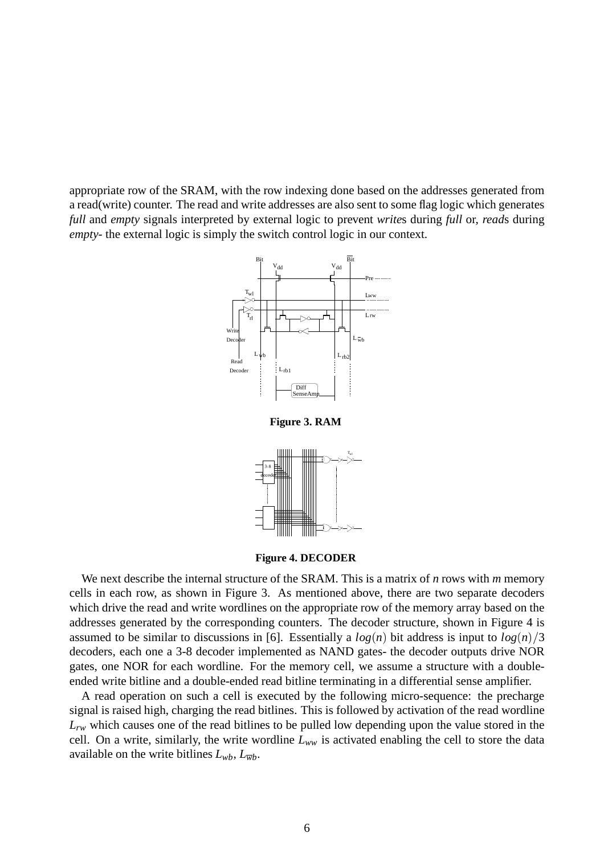appropriate row of the SRAM, with the row indexing done based on the addresses generated from a read(write) counter. The read and write addresses are also sent to some flag logic which generates *full* and *empty* signals interpreted by external logic to prevent *write*s during *full* or, *read*s during *empty*- the external logic is simply the switch control logic in our context.



**Figure 3. RAM**



**Figure 4. DECODER**

We next describe the internal structure of the SRAM. This is a matrix of *n* rows with *m* memory cells in each row, as shown in Figure 3. As mentioned above, there are two separate decoders which drive the read and write wordlines on the appropriate row of the memory array based on the addresses generated by the corresponding counters. The decoder structure, shown in Figure 4 is assumed to be similar to discussions in [6]. Essentially a  $log(n)$  bit address is input to  $log(n)/3$ decoders, each one a 3-8 decoder implemented as NAND gates- the decoder outputs drive NOR gates, one NOR for each wordline. For the memory cell, we assume a structure with a doubleended write bitline and a double-ended read bitline terminating in a differential sense amplifier.

A read operation on such a cell is executed by the following micro-sequence: the precharge signal is raised high, charging the read bitlines. This is followed by activation of the read wordline *Lrw* which causes one of the read bitlines to be pulled low depending upon the value stored in the cell. On a write, similarly, the write wordline  $L_{ww}$  is activated enabling the cell to store the data available on the write bitlines  $L_{wb}$ ,  $L_{\overline{wb}}$ .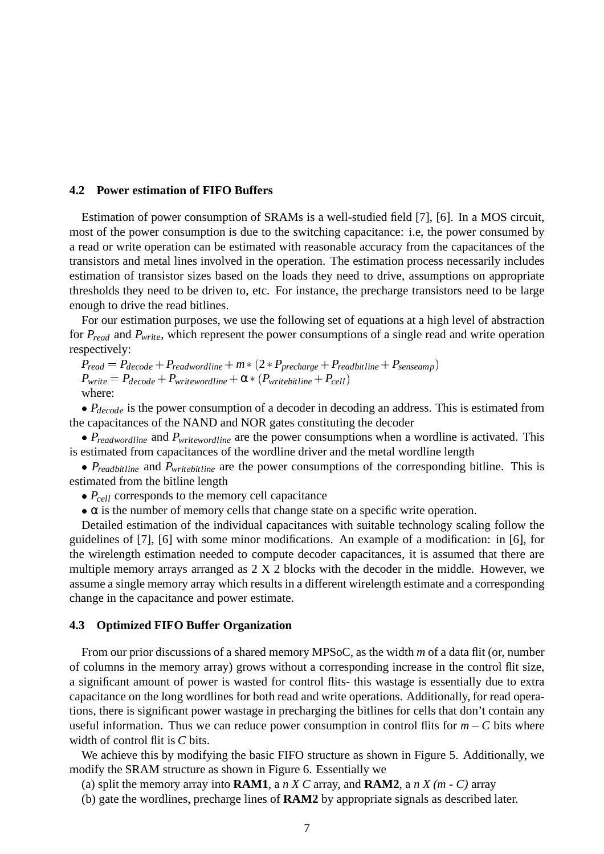#### **4.2 Power estimation of FIFO Buffers**

Estimation of power consumption of SRAMs is a well-studied field [7], [6]. In a MOS circuit, most of the power consumption is due to the switching capacitance: i.e, the power consumed by a read or write operation can be estimated with reasonable accuracy from the capacitances of the transistors and metal lines involved in the operation. The estimation process necessarily includes estimation of transistor sizes based on the loads they need to drive, assumptions on appropriate thresholds they need to be driven to, etc. For instance, the precharge transistors need to be large enough to drive the read bitlines.

For our estimation purposes, we use the following set of equations at a high level of abstraction for *Pread* and *Pwrite*, which represent the power consumptions of a single read and write operation respectively:

 $P_{read} = P_{decode} + P_{readwordline} + m * (2 * P_{precharge} + P_{readbitline} + P_{senseamp})$  $P_{write} = P_{decode} + P_{writewordline} + \alpha * (P_{writebitline} + P_{cell})$ where:

•  $P_{decode}$  is the power consumption of a decoder in decoding an address. This is estimated from the capacitances of the NAND and NOR gates constituting the decoder

 *Preadwordline* and *Pwritewordline* are the power consumptions when a wordline is activated. This is estimated from capacitances of the wordline driver and the metal wordline length

 *Preadbitline* and *Pwritebitline* are the power consumptions of the corresponding bitline. This is estimated from the bitline length

•  $P_{cell}$  corresponds to the memory cell capacitance

 $\bullet \alpha$  is the number of memory cells that change state on a specific write operation.

Detailed estimation of the individual capacitances with suitable technology scaling follow the guidelines of [7], [6] with some minor modifications. An example of a modification: in [6], for the wirelength estimation needed to compute decoder capacitances, it is assumed that there are multiple memory arrays arranged as 2 X 2 blocks with the decoder in the middle. However, we assume a single memory array which results in a different wirelength estimate and a corresponding change in the capacitance and power estimate.

#### **4.3 Optimized FIFO Buffer Organization**

From our prior discussions of a shared memory MPSoC, as the width *m* of a data flit (or, number of columns in the memory array) grows without a corresponding increase in the control flit size, a significant amount of power is wasted for control flits- this wastage is essentially due to extra capacitance on the long wordlines for both read and write operations. Additionally, for read operations, there is significant power wastage in precharging the bitlines for cells that don't contain any useful information. Thus we can reduce power consumption in control flits for  $m - C$  bits where width of control flit is *C* bits.

We achieve this by modifying the basic FIFO structure as shown in Figure 5. Additionally, we modify the SRAM structure as shown in Figure 6. Essentially we

(a) split the memory array into **RAM1**, a *n X C* array, and **RAM2**, a *n X (m - C)* array

(b) gate the wordlines, precharge lines of **RAM2** by appropriate signals as described later.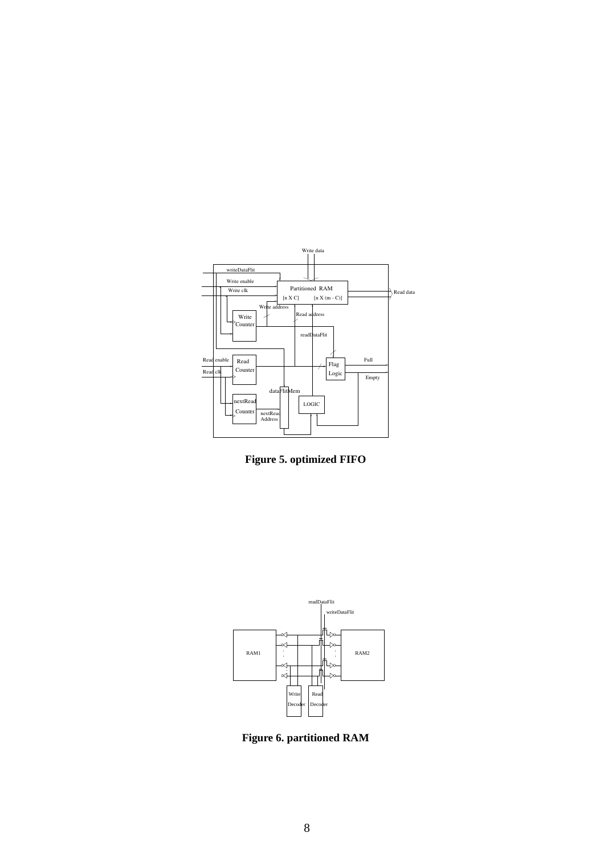

**Figure 5. optimized FIFO**



**Figure 6. partitioned RAM**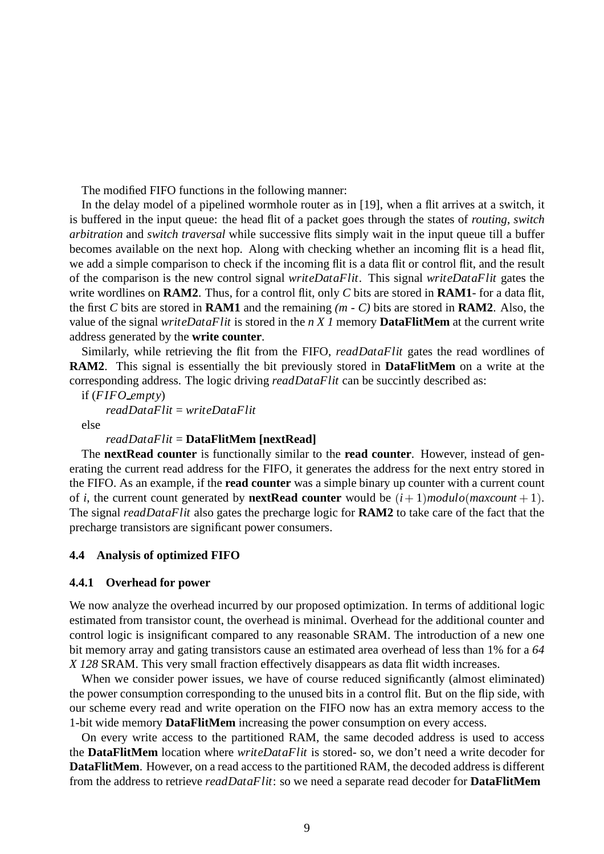The modified FIFO functions in the following manner:

In the delay model of a pipelined wormhole router as in [19], when a flit arrives at a switch, it is buffered in the input queue: the head flit of a packet goes through the states of *routing*, *switch arbitration* and *switch traversal* while successive flits simply wait in the input queue till a buffer becomes available on the next hop. Along with checking whether an incoming flit is a head flit, we add a simple comparison to check if the incoming flit is a data flit or control flit, and the result of the comparison is the new control signal *writeDataFlit*. This signal *writeDataFlit* gates the write wordlines on **RAM2**. Thus, for a control flit, only *C* bits are stored in **RAM1**- for a data flit, the first *C* bits are stored in **RAM1** and the remaining *(m - C)* bits are stored in **RAM2**. Also, the value of the signal *writeDataFlit* is stored in the *n X 1* memory **DataFlitMem** at the current write address generated by the **write counter**.

Similarly, while retrieving the flit from the FIFO, *readDataFlit* gates the read wordlines of **RAM2**. This signal is essentially the bit previously stored in **DataFlitMem** on a write at the corresponding address. The logic driving *readDataFlit* can be succintly described as:

if (*FIFO empty*) *readDataFlit* = *writeDataFlit* else

#### *readDataFlit* = **DataFlitMem [nextRead]**

The **nextRead counter** is functionally similar to the **read counter**. However, instead of generating the current read address for the FIFO, it generates the address for the next entry stored in the FIFO. As an example, if the **read counter** was a simple binary up counter with a current count of *i*, the current count generated by **nextRead counter** would be  $(i + 1)$ *modulo*(*maxcount* + 1). The signal *readDataFlit* also gates the precharge logic for **RAM2** to take care of the fact that the precharge transistors are significant power consumers.

## **4.4 Analysis of optimized FIFO**

#### **4.4.1 Overhead for power**

We now analyze the overhead incurred by our proposed optimization. In terms of additional logic estimated from transistor count, the overhead is minimal. Overhead for the additional counter and control logic is insignificant compared to any reasonable SRAM. The introduction of a new one bit memory array and gating transistors cause an estimated area overhead of less than 1% for a *64 X 128* SRAM. This very small fraction effectively disappears as data flit width increases.

When we consider power issues, we have of course reduced significantly (almost eliminated) the power consumption corresponding to the unused bits in a control flit. But on the flip side, with our scheme every read and write operation on the FIFO now has an extra memory access to the 1-bit wide memory **DataFlitMem** increasing the power consumption on every access.

On every write access to the partitioned RAM, the same decoded address is used to access the **DataFlitMem** location where *writeDataFlit* is stored- so, we don't need a write decoder for **DataFlitMem**. However, on a read access to the partitioned RAM, the decoded address is different from the address to retrieve *readDataFlit*: so we need a separate read decoder for **DataFlitMem**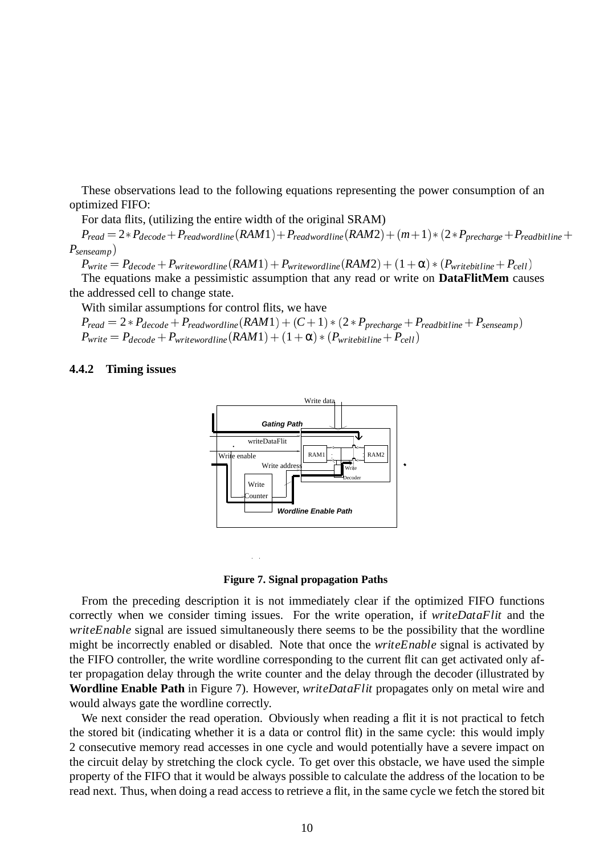These observations lead to the following equations representing the power consumption of an optimized FIFO:

For data flits, (utilizing the entire width of the original SRAM)

 $P_{read} = 2*P_{decode} + P_{readwordline}(RAM1) + P_{readwordline}(RAM2) + (m+1)*(2*P_{precharge} + P_{readbitline} +$ *Psenseamp*)

 $P_{write} = P_{decode} + P_{writtenordinate}(RAM1) + P_{writtenordinate}(RAM2) + (1 + \alpha) * (P_{writebitline} + P_{cell})$ The equations make a pessimistic assumption that any read or write on **DataFlitMem** causes the addressed cell to change state.

With similar assumptions for control flits, we have

 $P_{read} = 2 * P_{decode} + P_{readwordline}(RAM1) + (C + 1) * (2 * P_{precharge} + P_{readbitline} + P_{senseamp})$  $P_{\text{write}} = P_{\text{decode}} + P_{\text{writeworldine}}(RAM1) + (1 + \alpha) * (P_{\text{writebitline}} + P_{\text{cell}})$ 

#### **4.4.2 Timing issues**





From the preceding description it is not immediately clear if the optimized FIFO functions correctly when we consider timing issues. For the write operation, if *writeDataFlit* and the *writeEnable* signal are issued simultaneously there seems to be the possibility that the wordline might be incorrectly enabled or disabled. Note that once the *writeEnable* signal is activated by the FIFO controller, the write wordline corresponding to the current flit can get activated only after propagation delay through the write counter and the delay through the decoder (illustrated by **Wordline Enable Path** in Figure 7). However, *writeDataFlit* propagates only on metal wire and would always gate the wordline correctly.

We next consider the read operation. Obviously when reading a flit it is not practical to fetch the stored bit (indicating whether it is a data or control flit) in the same cycle: this would imply 2 consecutive memory read accesses in one cycle and would potentially have a severe impact on the circuit delay by stretching the clock cycle. To get over this obstacle, we have used the simple property of the FIFO that it would be always possible to calculate the address of the location to be read next. Thus, when doing a read access to retrieve a flit, in the same cycle we fetch the stored bit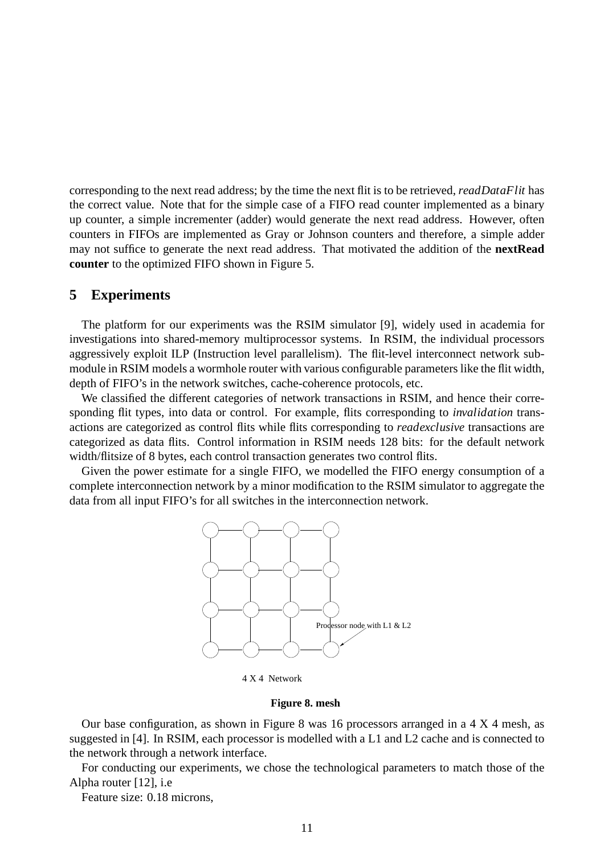corresponding to the next read address; by the time the next flit is to be retrieved, *readDataFlit* has the correct value. Note that for the simple case of a FIFO read counter implemented as a binary up counter, a simple incrementer (adder) would generate the next read address. However, often counters in FIFOs are implemented as Gray or Johnson counters and therefore, a simple adder may not suffice to generate the next read address. That motivated the addition of the **nextRead counter** to the optimized FIFO shown in Figure 5.

## **5 Experiments**

The platform for our experiments was the RSIM simulator [9], widely used in academia for investigations into shared-memory multiprocessor systems. In RSIM, the individual processors aggressively exploit ILP (Instruction level parallelism). The flit-level interconnect network submodule in RSIM models a wormhole router with various configurable parameters like the flit width, depth of FIFO's in the network switches, cache-coherence protocols, etc.

We classified the different categories of network transactions in RSIM, and hence their corresponding flit types, into data or control. For example, flits corresponding to *invalidation* transactions are categorized as control flits while flits corresponding to *readexclusive* transactions are categorized as data flits. Control information in RSIM needs 128 bits: for the default network width/flitsize of 8 bytes, each control transaction generates two control flits.

Given the power estimate for a single FIFO, we modelled the FIFO energy consumption of a complete interconnection network by a minor modification to the RSIM simulator to aggregate the data from all input FIFO's for all switches in the interconnection network.



4 X 4 Network

#### **Figure 8. mesh**

Our base configuration, as shown in Figure 8 was 16 processors arranged in a 4 X 4 mesh, as suggested in [4]. In RSIM, each processor is modelled with a L1 and L2 cache and is connected to the network through a network interface.

For conducting our experiments, we chose the technological parameters to match those of the Alpha router [12], i.e

Feature size: 0.18 microns,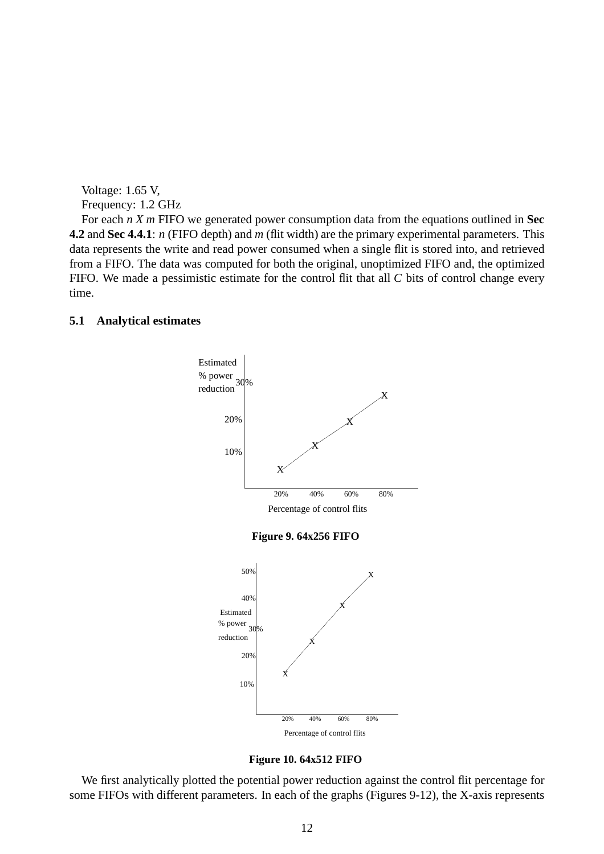Voltage: 1.65 V, Frequency: 1.2 GHz

For each *n X m* FIFO we generated power consumption data from the equations outlined in **Sec 4.2** and **Sec 4.4.1**: *n* (FIFO depth) and *m* (flit width) are the primary experimental parameters. This data represents the write and read power consumed when a single flit is stored into, and retrieved from a FIFO. The data was computed for both the original, unoptimized FIFO and, the optimized FIFO. We made a pessimistic estimate for the control flit that all *C* bits of control change every time.

#### **5.1 Analytical estimates**



**Figure 10. 64x512 FIFO**

We first analytically plotted the potential power reduction against the control flit percentage for some FIFOs with different parameters. In each of the graphs (Figures 9-12), the X-axis represents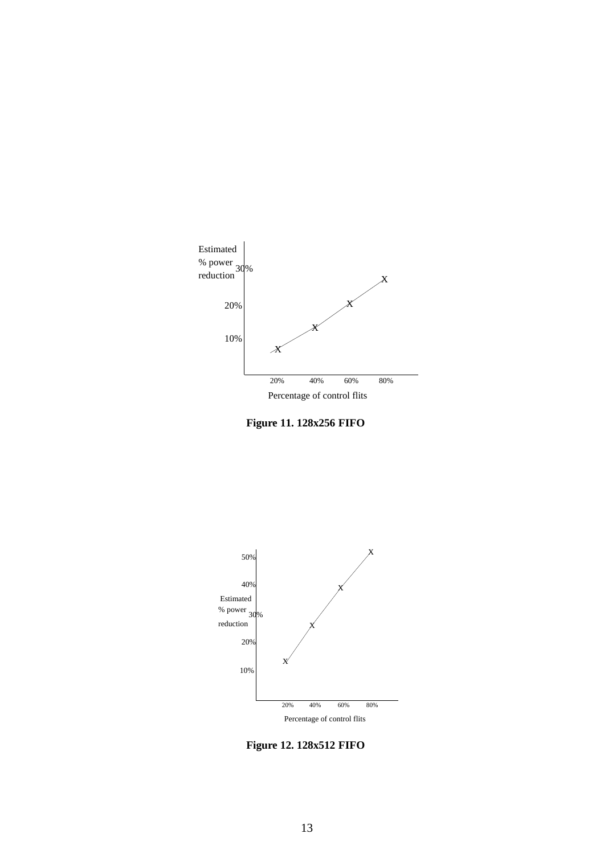





**Figure 12. 128x512 FIFO**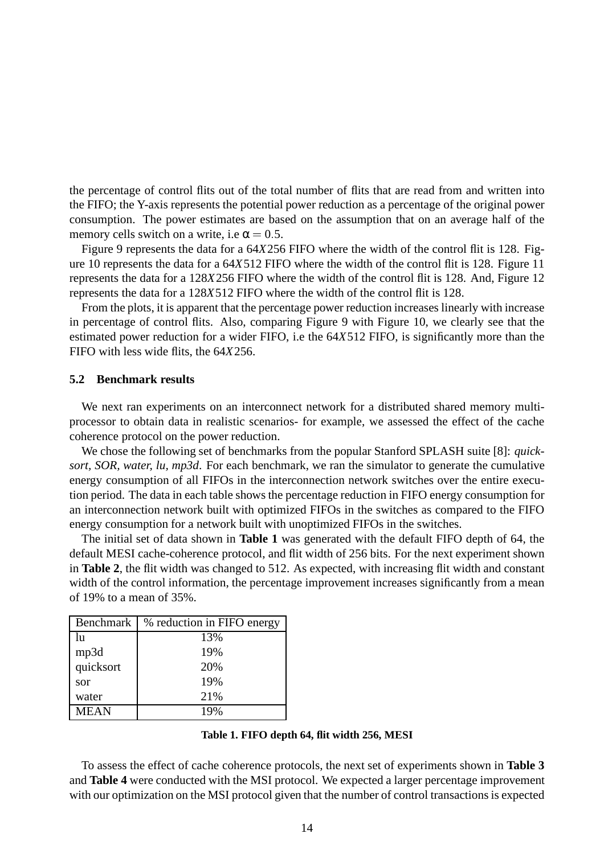the percentage of control flits out of the total number of flits that are read from and written into the FIFO; the Y-axis represents the potential power reduction as a percentage of the original power consumption. The power estimates are based on the assumption that on an average half of the memory cells switch on a write, i.e  $\alpha = 0.5$ .

Figure 9 represents the data for a 64*X*256 FIFO where the width of the control flit is 128. Figure 10 represents the data for a 64*X*512 FIFO where the width of the control flit is 128. Figure 11 represents the data for a 128*X*256 FIFO where the width of the control flit is 128. And, Figure 12 represents the data for a 128*X*512 FIFO where the width of the control flit is 128.

From the plots, it is apparent that the percentage power reduction increases linearly with increase in percentage of control flits. Also, comparing Figure 9 with Figure 10, we clearly see that the estimated power reduction for a wider FIFO, i.e the 64*X*512 FIFO, is significantly more than the FIFO with less wide flits, the 64*X*256.

#### **5.2 Benchmark results**

We next ran experiments on an interconnect network for a distributed shared memory multiprocessor to obtain data in realistic scenarios- for example, we assessed the effect of the cache coherence protocol on the power reduction.

We chose the following set of benchmarks from the popular Stanford SPLASH suite [8]: *quicksort, SOR, water, lu, mp3d*. For each benchmark, we ran the simulator to generate the cumulative energy consumption of all FIFOs in the interconnection network switches over the entire execution period. The data in each table shows the percentage reduction in FIFO energy consumption for an interconnection network built with optimized FIFOs in the switches as compared to the FIFO energy consumption for a network built with unoptimized FIFOs in the switches.

The initial set of data shown in **Table 1** was generated with the default FIFO depth of 64, the default MESI cache-coherence protocol, and flit width of 256 bits. For the next experiment shown in **Table 2**, the flit width was changed to 512. As expected, with increasing flit width and constant width of the control information, the percentage improvement increases significantly from a mean of 19% to a mean of 35%.

| Benchmark   | % reduction in FIFO energy |
|-------------|----------------------------|
| lu          | 13%                        |
| mp3d        | 19%                        |
| quicksort   | 20%                        |
| sor         | 19%                        |
| water       | 21%                        |
| <b>MEAN</b> |                            |

#### **Table 1. FIFO depth 64, flit width 256, MESI**

To assess the effect of cache coherence protocols, the next set of experiments shown in **Table 3** and **Table 4** were conducted with the MSI protocol. We expected a larger percentage improvement with our optimization on the MSI protocol given that the number of control transactions is expected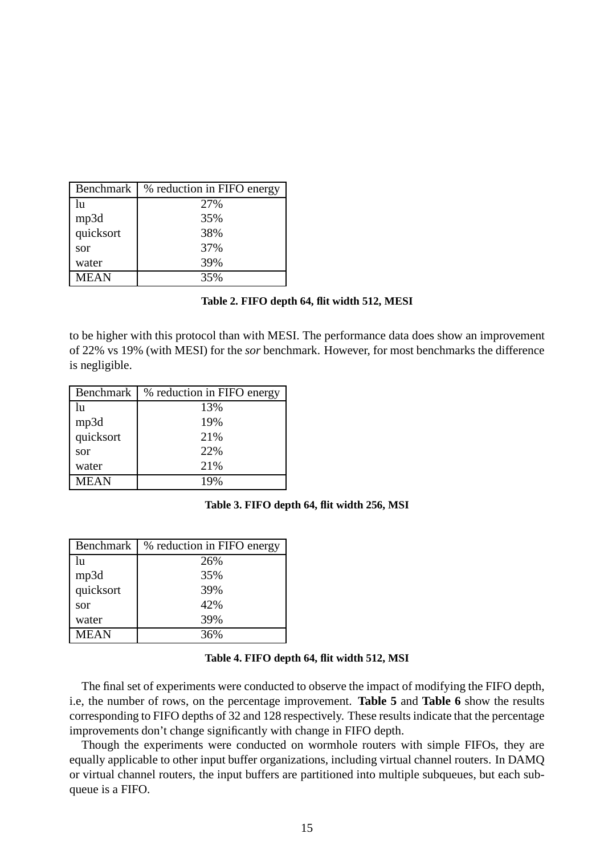| Benchmark   | % reduction in FIFO energy |
|-------------|----------------------------|
| lu          | 27%                        |
| mp3d        | 35%                        |
| quicksort   | 38%                        |
| sor         | 37%                        |
| water       | 39%                        |
| <b>MEAN</b> | 35%                        |

#### **Table 2. FIFO depth 64, flit width 512, MESI**

to be higher with this protocol than with MESI. The performance data does show an improvement of 22% vs 19% (with MESI) for the *sor* benchmark. However, for most benchmarks the difference is negligible.

| <b>Benchmark</b> | % reduction in FIFO energy |
|------------------|----------------------------|
| lu               | 13%                        |
| mp3d             | 19%                        |
| quicksort        | 21%                        |
| sor              | 22%                        |
| water            | 21%                        |
| <b>MEAN</b>      | 19%                        |

**Table 3. FIFO depth 64, flit width 256, MSI**

| Benchmark   | % reduction in FIFO energy |
|-------------|----------------------------|
| lu          | 26%                        |
| mp3d        | 35%                        |
| quicksort   | 39%                        |
| sor         | 42%                        |
| water       | 39%                        |
| <b>MEAN</b> | 36%                        |

#### **Table 4. FIFO depth 64, flit width 512, MSI**

The final set of experiments were conducted to observe the impact of modifying the FIFO depth, i.e, the number of rows, on the percentage improvement. **Table 5** and **Table 6** show the results corresponding to FIFO depths of 32 and 128 respectively. These results indicate that the percentage improvements don't change significantly with change in FIFO depth.

Though the experiments were conducted on wormhole routers with simple FIFOs, they are equally applicable to other input buffer organizations, including virtual channel routers. In DAMQ or virtual channel routers, the input buffers are partitioned into multiple subqueues, but each subqueue is a FIFO.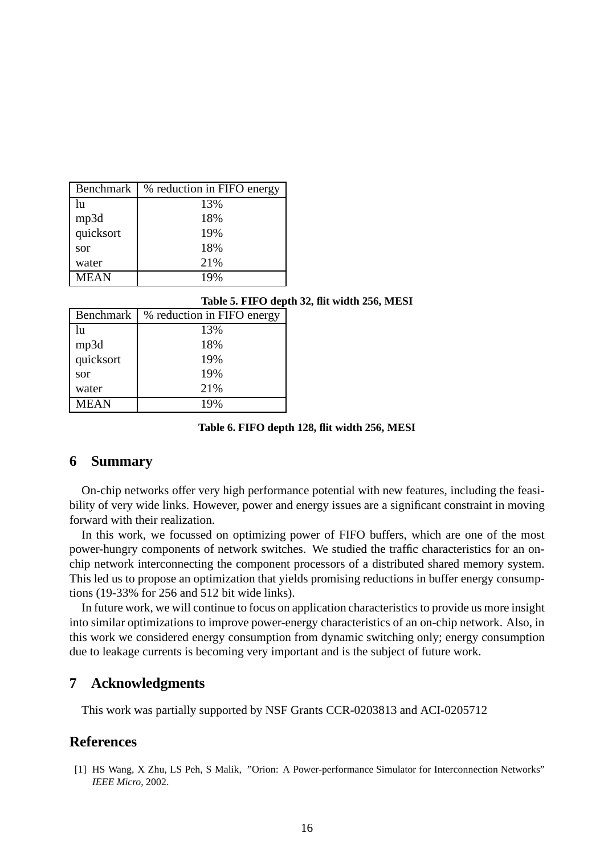| Benchmark   | % reduction in FIFO energy |
|-------------|----------------------------|
| lu          | 13%                        |
| mp3d        | 18%                        |
| quicksort   | 19%                        |
| sor         | 18%                        |
| water       | 21%                        |
| <b>MEAN</b> | 19%                        |

#### **Table 5. FIFO depth 32, flit width 256, MESI**

| Benchmark   | % reduction in FIFO energy |
|-------------|----------------------------|
| lu          | 13%                        |
| mp3d        | 18%                        |
| quicksort   | 19%                        |
| sor         | 19%                        |
| water       | 21%                        |
| <b>MEAN</b> | 19%                        |

**Table 6. FIFO depth 128, flit width 256, MESI**

## **6 Summary**

On-chip networks offer very high performance potential with new features, including the feasibility of very wide links. However, power and energy issues are a significant constraint in moving forward with their realization.

In this work, we focussed on optimizing power of FIFO buffers, which are one of the most power-hungry components of network switches. We studied the traffic characteristics for an onchip network interconnecting the component processors of a distributed shared memory system. This led us to propose an optimization that yields promising reductions in buffer energy consumptions (19-33% for 256 and 512 bit wide links).

In future work, we will continue to focus on application characteristics to provide us more insight into similar optimizations to improve power-energy characteristics of an on-chip network. Also, in this work we considered energy consumption from dynamic switching only; energy consumption due to leakage currents is becoming very important and is the subject of future work.

## **7 Acknowledgments**

This work was partially supported by NSF Grants CCR-0203813 and ACI-0205712

## **References**

[1] HS Wang, X Zhu, LS Peh, S Malik, "Orion: A Power-performance Simulator for Interconnection Networks" *IEEE Micro*, 2002.